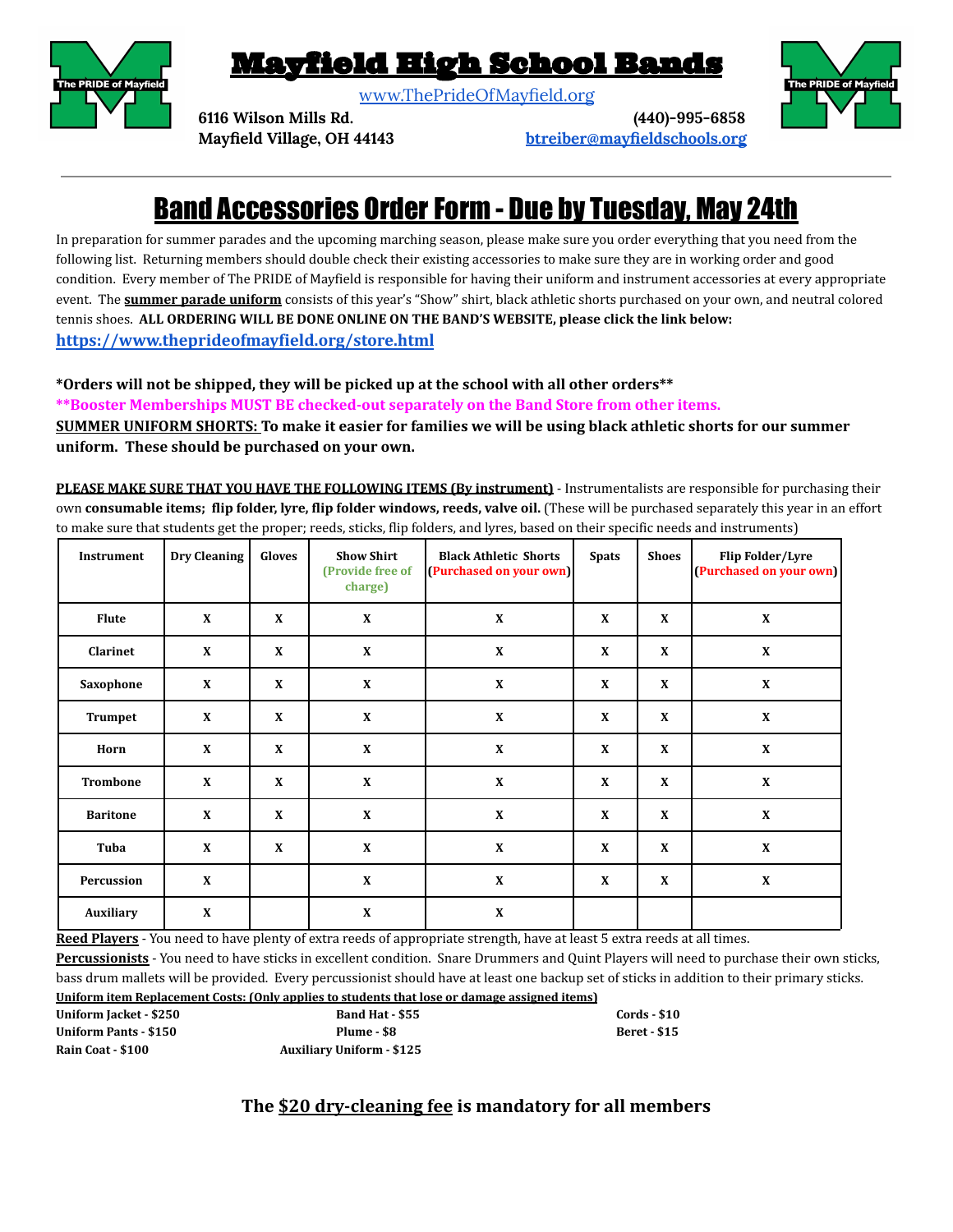

# Mayfield High School Bands

[www.ThePrideOfMayfield.org](http://www.theprideofmayfield.org)



**6116 Wilson Mills Rd. (440)-995-6858**

**Mayfield Village, OH 44143 [btreiber@mayfieldschools.org](mailto:btreiber@mayfieldschools.org)**

# Band Accessories Order Form - Due by Tuesday, May 24th

In preparation for summer parades and the upcoming marching season, please make sure you order everything that you need from the following list. Returning members should double check their existing accessories to make sure they are in working order and good condition. Every member of The PRIDE of Mayfield is responsible for having their uniform and instrument accessories at every appropriate event. The **summer parade uniform** consists of this year's "Show" shirt, black athletic shorts purchased on your own, and neutral colored tennis shoes. **ALL ORDERING WILL BE DONE ONLINE ON THE BAND'S WEBSITE, please click the link below: <https://www.theprideofmayfield.org/store.html>**

**\*Orders will not be shipped, they will be picked up at the school with all other orders\*\* \*\*Booster Memberships MUST BE checked-out separately on the Band Store from other items.** SUMMER UNIFORM SHORTS: To make it easier for families we will be using black athletic shorts for our summer **uniform. These should be purchased on your own.**

**PLEASE MAKE SURE THAT YOU HAVE THE FOLLOWING ITEMS (By instrument)** - Instrumentalists are responsible for purchasing their own **consumable items; flip folder, lyre, flip folder windows, reeds, valve oil.** (These will be purchased separately this year in an effort to make sure that students get the proper; reeds, sticks, flip folders, and lyres, based on their specific needs and instruments)

| Instrument      | <b>Dry Cleaning</b> | Gloves       | <b>Show Shirt</b><br>(Provide free of<br>charge) | <b>Black Athletic Shorts</b><br>(Purchased on your own) | <b>Spats</b> | <b>Shoes</b> | <b>Flip Folder/Lyre</b><br>(Purchased on your own) |
|-----------------|---------------------|--------------|--------------------------------------------------|---------------------------------------------------------|--------------|--------------|----------------------------------------------------|
| <b>Flute</b>    | X                   | X            | $\mathbf{x}$                                     | $\mathbf x$                                             | $\mathbf{x}$ | $\mathbf{x}$ | X                                                  |
| Clarinet        | X                   | $\mathbf{X}$ | $\mathbf{X}$                                     | $\mathbf X$                                             | X            | X            | $\mathbf{X}$                                       |
| Saxophone       | X                   | X            | $\boldsymbol{\mathrm{X}}$                        | $\mathbf X$                                             | $\mathbf X$  | X            | $\boldsymbol{\mathrm{X}}$                          |
| <b>Trumpet</b>  | $\mathbf X$         | X            | $\boldsymbol{\mathrm{X}}$                        | $\mathbf X$                                             | $\mathbf X$  | X            | $\boldsymbol{\mathrm{X}}$                          |
| Horn            | X                   | X            | X                                                | X                                                       | X            | X            | X                                                  |
| <b>Trombone</b> | X                   | X            | $\mathbf{X}$                                     | $\mathbf X$                                             | X            | X            | $\mathbf X$                                        |
| <b>Baritone</b> | X                   | X            | X                                                | $\mathbf X$                                             | X            | X            | $\boldsymbol{\mathrm{X}}$                          |
| Tuba            | X                   | X            | X                                                | $\mathbf X$                                             | X            | X            | $\mathbf X$                                        |
| Percussion      | $\mathbf{x}$        |              | $\mathbf{X}$                                     | $\mathbf x$                                             | X            | X            | X                                                  |
| Auxiliary       | $\mathbf X$         |              | $\mathbf X$                                      | $\mathbf X$                                             |              |              |                                                    |

**Reed Players** - You need to have plenty of extra reeds of appropriate strength, have at least 5 extra reeds at all times.

**Percussionists** - You need to have sticks in excellent condition. Snare Drummers and Quint Players will need to purchase their own sticks, bass drum mallets will be provided. Every percussionist should have at least one backup set of sticks in addition to their primary sticks.

|                        | Uniform item Replacement Costs: (Only applies to students that lose or damage assigned items) |                     |
|------------------------|-----------------------------------------------------------------------------------------------|---------------------|
| Uniform Jacket - \$250 | <b>Band Hat - \$55</b>                                                                        | $Cords - $10$       |
| Uniform Pants - \$150  | Plume - \$8                                                                                   | <b>Beret - \$15</b> |
| Rain Coat - \$100      | <b>Auxiliary Uniform - \$125</b>                                                              |                     |

#### **The \$20 dry-cleaning fee is mandatory for all members**